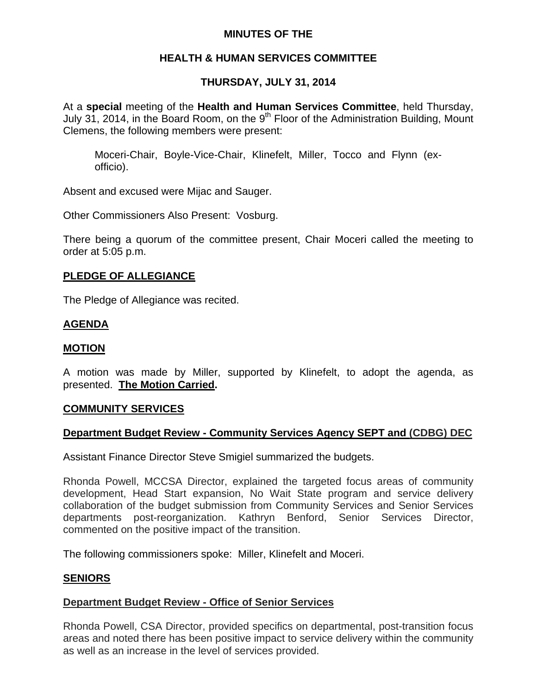# **MINUTES OF THE**

## **HEALTH & HUMAN SERVICES COMMITTEE**

# **THURSDAY, JULY 31, 2014**

At a **special** meeting of the **Health and Human Services Committee**, held Thursday, July 31, 2014, in the Board Room, on the  $9<sup>th</sup>$  Floor of the Administration Building, Mount Clemens, the following members were present:

Moceri-Chair, Boyle-Vice-Chair, Klinefelt, Miller, Tocco and Flynn (exofficio).

Absent and excused were Mijac and Sauger.

Other Commissioners Also Present: Vosburg.

There being a quorum of the committee present, Chair Moceri called the meeting to order at 5:05 p.m.

#### **PLEDGE OF ALLEGIANCE**

The Pledge of Allegiance was recited.

#### **AGENDA**

#### **MOTION**

A motion was made by Miller, supported by Klinefelt, to adopt the agenda, as presented. **The Motion Carried.** 

#### **COMMUNITY SERVICES**

#### **Department Budget Review - Community Services Agency SEPT and (CDBG) DEC**

Assistant Finance Director Steve Smigiel summarized the budgets.

Rhonda Powell, MCCSA Director, explained the targeted focus areas of community development, Head Start expansion, No Wait State program and service delivery collaboration of the budget submission from Community Services and Senior Services departments post-reorganization. Kathryn Benford, Senior Services Director, commented on the positive impact of the transition.

The following commissioners spoke: Miller, Klinefelt and Moceri.

#### **SENIORS**

#### **Department Budget Review - Office of Senior Services**

Rhonda Powell, CSA Director, provided specifics on departmental, post-transition focus areas and noted there has been positive impact to service delivery within the community as well as an increase in the level of services provided.